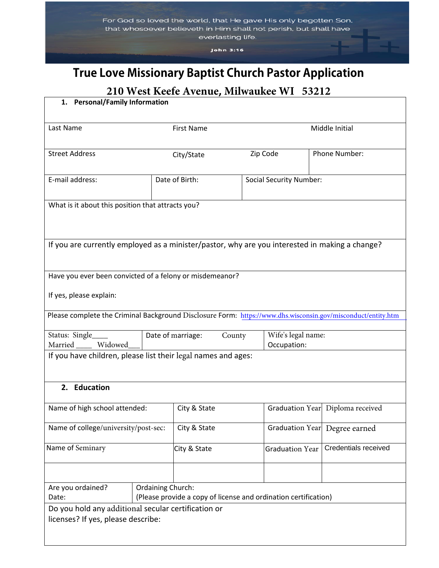John 3:16

# **True Love Missionary Baptist Church Pastor Application**

## **210 West Keefe Avenue, Milwaukee WI 53212**

| 1. Personal/Family Information                                                                               |                                                                                      |                   |  |          |                        |  |                                  |
|--------------------------------------------------------------------------------------------------------------|--------------------------------------------------------------------------------------|-------------------|--|----------|------------------------|--|----------------------------------|
| Last Name                                                                                                    |                                                                                      | <b>First Name</b> |  |          |                        |  | Middle Initial                   |
| <b>Street Address</b>                                                                                        | City/State                                                                           |                   |  | Zip Code |                        |  | Phone Number:                    |
| E-mail address:                                                                                              | Date of Birth:<br><b>Social Security Number:</b>                                     |                   |  |          |                        |  |                                  |
| What is it about this position that attracts you?                                                            |                                                                                      |                   |  |          |                        |  |                                  |
| If you are currently employed as a minister/pastor, why are you interested in making a change?               |                                                                                      |                   |  |          |                        |  |                                  |
| Have you ever been convicted of a felony or misdemeanor?                                                     |                                                                                      |                   |  |          |                        |  |                                  |
| If yes, please explain:                                                                                      |                                                                                      |                   |  |          |                        |  |                                  |
| Please complete the Criminal Background Disclosure Form: https://www.dhs.wisconsin.gov/misconduct/entity.htm |                                                                                      |                   |  |          |                        |  |                                  |
| Status: Single<br>Married Widowed                                                                            | Wife's legal name:<br>Date of marriage:<br>County<br>Occupation:                     |                   |  |          |                        |  |                                  |
| If you have children, please list their legal names and ages:                                                |                                                                                      |                   |  |          |                        |  |                                  |
| 2. Education                                                                                                 |                                                                                      |                   |  |          |                        |  |                                  |
| Name of high school attended:                                                                                |                                                                                      | City & State      |  |          |                        |  | Graduation Year Diploma received |
| Name of college/university/post-sec:                                                                         |                                                                                      | City & State      |  |          | Graduation Year        |  | Degree earned                    |
| Name of Seminary                                                                                             |                                                                                      | City & State      |  |          | <b>Graduation Year</b> |  | Credentials received             |
|                                                                                                              |                                                                                      |                   |  |          |                        |  |                                  |
| Are you ordained?<br>Date:                                                                                   | Ordaining Church:<br>(Please provide a copy of license and ordination certification) |                   |  |          |                        |  |                                  |
| Do you hold any additional secular certification or<br>licenses? If yes, please describe:                    |                                                                                      |                   |  |          |                        |  |                                  |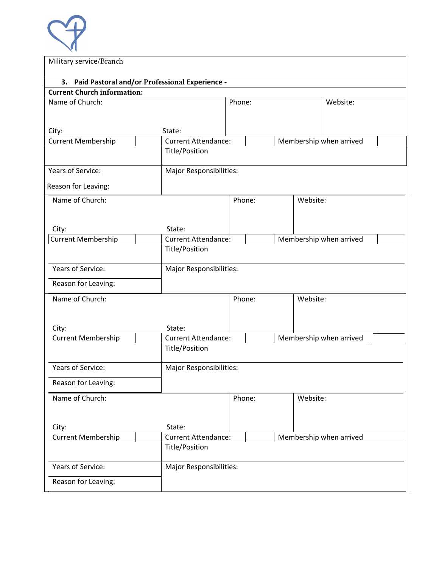

| Military service/Branch                           |                                |                                |                         |                         |  |  |
|---------------------------------------------------|--------------------------------|--------------------------------|-------------------------|-------------------------|--|--|
| 3. Paid Pastoral and/or Professional Experience - |                                |                                |                         |                         |  |  |
| <b>Current Church information:</b>                |                                |                                |                         |                         |  |  |
| Name of Church:                                   | Phone:                         |                                | Website:                |                         |  |  |
|                                                   |                                |                                |                         |                         |  |  |
|                                                   |                                |                                |                         |                         |  |  |
| City:                                             | State:                         |                                |                         |                         |  |  |
| <b>Current Membership</b>                         | <b>Current Attendance:</b>     |                                | Membership when arrived |                         |  |  |
|                                                   | Title/Position                 |                                |                         |                         |  |  |
| Years of Service:                                 | Major Responsibilities:        |                                |                         |                         |  |  |
| Reason for Leaving:                               |                                |                                |                         |                         |  |  |
| Name of Church:                                   |                                | Phone:                         | Website:                |                         |  |  |
|                                                   |                                |                                |                         |                         |  |  |
|                                                   |                                |                                |                         |                         |  |  |
| City:                                             | State:                         |                                |                         |                         |  |  |
| <b>Current Membership</b>                         | <b>Current Attendance:</b>     |                                | Membership when arrived |                         |  |  |
|                                                   | Title/Position                 |                                |                         |                         |  |  |
| Years of Service:                                 | Major Responsibilities:        |                                |                         |                         |  |  |
| Reason for Leaving:                               |                                |                                |                         |                         |  |  |
|                                                   |                                |                                |                         |                         |  |  |
| Name of Church:                                   |                                | Phone:                         | Website:                |                         |  |  |
|                                                   |                                |                                |                         |                         |  |  |
| City:                                             | State:                         |                                |                         |                         |  |  |
| <b>Current Membership</b>                         | Current Attendance:            |                                |                         | Membership when arrived |  |  |
|                                                   | Title/Position                 |                                |                         |                         |  |  |
|                                                   |                                |                                |                         |                         |  |  |
| Years of Service:                                 | <b>Major Responsibilities:</b> |                                |                         |                         |  |  |
| Reason for Leaving:                               |                                |                                |                         |                         |  |  |
|                                                   |                                |                                |                         |                         |  |  |
| Name of Church:                                   |                                | Phone:                         | Website:                |                         |  |  |
|                                                   |                                |                                |                         |                         |  |  |
| City:                                             | State:                         |                                |                         |                         |  |  |
| <b>Current Membership</b>                         | <b>Current Attendance:</b>     |                                | Membership when arrived |                         |  |  |
|                                                   | Title/Position                 |                                |                         |                         |  |  |
|                                                   |                                |                                |                         |                         |  |  |
| Years of Service:                                 |                                | <b>Major Responsibilities:</b> |                         |                         |  |  |
| Reason for Leaving:                               |                                |                                |                         |                         |  |  |
|                                                   |                                |                                |                         |                         |  |  |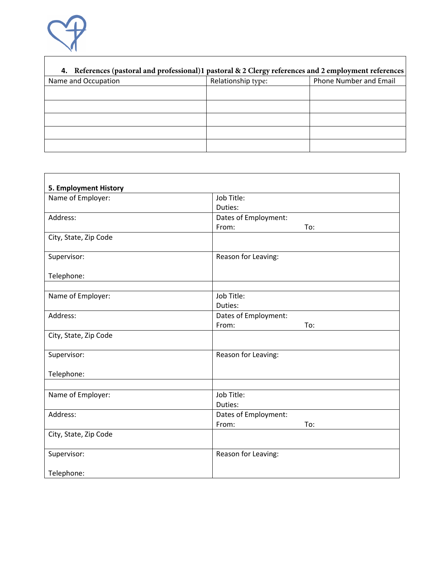

## **4. References (pastoral and professional)1 pastoral & 2 Clergy references and 2 employment references**

| Name and Occupation | - -<br>Relationship type: | Phone Number and Email |
|---------------------|---------------------------|------------------------|
|                     |                           |                        |
|                     |                           |                        |
|                     |                           |                        |
|                     |                           |                        |
|                     |                           |                        |

| 5. Employment History |                                      |  |  |
|-----------------------|--------------------------------------|--|--|
| Name of Employer:     | Job Title:                           |  |  |
|                       | Duties:                              |  |  |
| Address:              | Dates of Employment:                 |  |  |
|                       | From:<br>To:                         |  |  |
| City, State, Zip Code |                                      |  |  |
| Supervisor:           | Reason for Leaving:                  |  |  |
| Telephone:            |                                      |  |  |
| Name of Employer:     | Job Title:                           |  |  |
|                       | Duties:                              |  |  |
| Address:              | Dates of Employment:                 |  |  |
|                       | From:<br>To:                         |  |  |
| City, State, Zip Code |                                      |  |  |
| Supervisor:           | Reason for Leaving:                  |  |  |
| Telephone:            |                                      |  |  |
|                       |                                      |  |  |
| Name of Employer:     | Job Title:                           |  |  |
|                       | Duties:                              |  |  |
| Address:              | Dates of Employment:<br>From:<br>To: |  |  |
| City, State, Zip Code |                                      |  |  |
|                       |                                      |  |  |
| Supervisor:           | Reason for Leaving:                  |  |  |
| Telephone:            |                                      |  |  |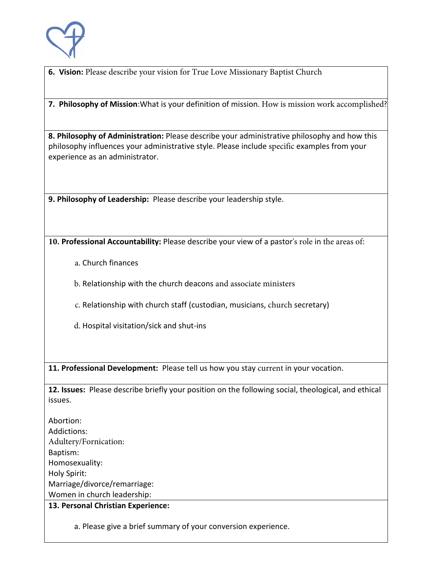

**6. Vision:** Please describe your vision for True Love Missionary Baptist Church

**7. Philosophy of Mission**:What is your definition of mission. How is mission work accomplished?

**8. Philosophy of Administration:** Please describe your administrative philosophy and how this philosophy influences your administrative style. Please include specific examples from your experience as an administrator.

**9. Philosophy of Leadership:** Please describe your leadership style.

**10. Professional Accountability:** Please describe your view of a pastor's role in the areas of:

a. Church finances

b. Relationship with the church deacons and associate ministers

c. Relationship with church staff (custodian, musicians, church secretary)

d. Hospital visitation/sick and shut-ins

**11. Professional Development:** Please tell us how you stay current in your vocation.

**12. Issues:** Please describe briefly your position on the following social, theological, and ethical issues.

Abortion: Addictions: Adultery/Fornication: Baptism: Homosexuality: Holy Spirit: Marriage/divorce/remarriage: Women in church leadership:

**13. Personal Christian Experience:**

a. Please give a brief summary of your conversion experience.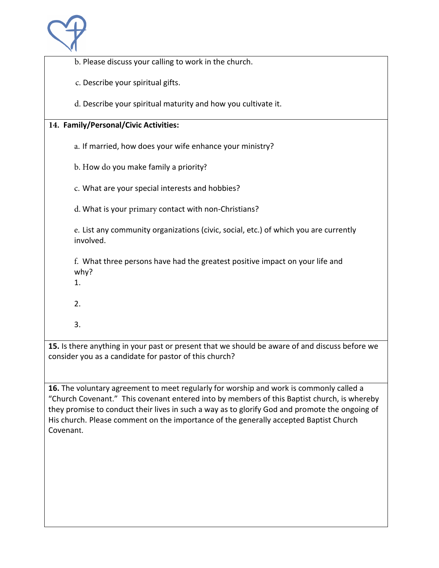

b. Please discuss your calling to work in the church.

c. Describe your spiritual gifts.

d. Describe your spiritual maturity and how you cultivate it.

### **14. Family/Personal/Civic Activities:**

a. If married, how does your wife enhance your ministry?

b. How do you make family a priority?

c. What are your special interests and hobbies?

d. What is your primary contact with non-Christians?

e. List any community organizations (civic, social, etc.) of which you are currently involved.

f. What three persons have had the greatest positive impact on your life and why?

- 1.
- 2.
- 3.

**15.** Is there anything in your past or present that we should be aware of and discuss before we consider you as a candidate for pastor of this church?

**16.** The voluntary agreement to meet regularly for worship and work is commonly called a "Church Covenant." This covenant entered into by members of this Baptist church, is whereby they promise to conduct their lives in such a way as to glorify God and promote the ongoing of His church. Please comment on the importance of the generally accepted Baptist Church Covenant.